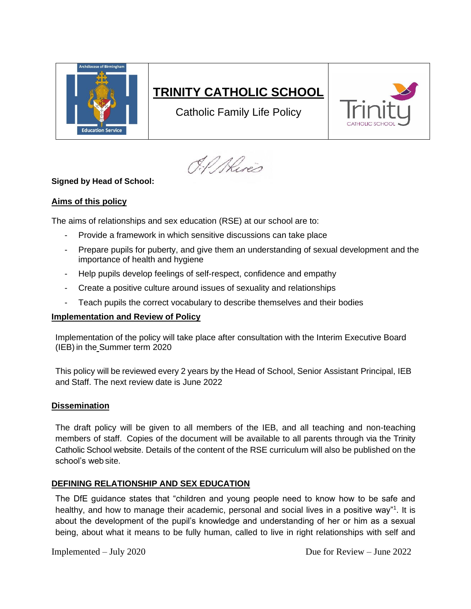

# **TRINITY CATHOLIC SCHOOL**

Catholic Family Life Policy



O.P. Phines

# **Signed by Head of School:**

#### **Aims of this policy**

The aims of relationships and sex education (RSE) at our school are to:

- Provide a framework in which sensitive discussions can take place
- Prepare pupils for puberty, and give them an understanding of sexual development and the importance of health and hygiene
- Help pupils develop feelings of self-respect, confidence and empathy
- Create a positive culture around issues of sexuality and relationships
- Teach pupils the correct vocabulary to describe themselves and their bodies

#### **Implementation and Review of Policy**

Implementation of the policy will take place after consultation with the Interim Executive Board (IEB) in the Summer term 2020

This policy will be reviewed every 2 years by the Head of School, Senior Assistant Principal, IEB and Staff. The next review date is June 2022

#### **Dissemination**

The draft policy will be given to all members of the IEB, and all teaching and non-teaching members of staff. Copies of the document will be available to all parents through via the Trinity Catholic School website. Details of the content of the RSE curriculum will also be published on the school's web site.

# **DEFINING RELATIONSHIP AND SEX EDUCATION**

The DfE guidance states that "children and young people need to know how to be safe and healthy, and how to manage their academic, personal and social lives in a positive way"<sup>1</sup>. It is about the development of the pupil's knowledge and understanding of her or him as a sexual being, about what it means to be fully human, called to live in right relationships with self and

Implemented – July 2020 Due for Review – June 2022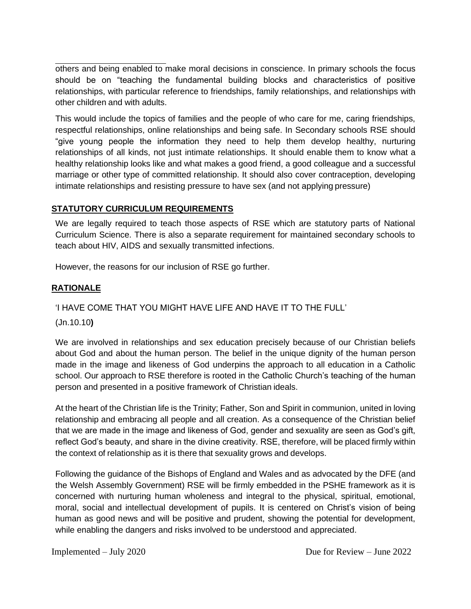others and being enabled to make moral decisions in conscience. In primary schools the focus should be on "teaching the fundamental building blocks and characteristics of positive relationships, with particular reference to friendships, family relationships, and relationships with other children and with adults.

This would include the topics of families and the people of who care for me, caring friendships, respectful relationships, online relationships and being safe. In Secondary schools RSE should "give young people the information they need to help them develop healthy, nurturing relationships of all kinds, not just intimate relationships. It should enable them to know what a healthy relationship looks like and what makes a good friend, a good colleague and a successful marriage or other type of committed relationship. It should also cover contraception, developing intimate relationships and resisting pressure to have sex (and not applying pressure)

# **STATUTORY CURRICULUM REQUIREMENTS**

We are legally required to teach those aspects of RSE which are statutory parts of National Curriculum Science. There is also a separate requirement for maintained secondary schools to teach about HIV, AIDS and sexually transmitted infections.

However, the reasons for our inclusion of RSE go further.

#### **RATIONALE**

# 'I HAVE COME THAT YOU MIGHT HAVE LIFE AND HAVE IT TO THE FULL'

#### (Jn.10.10**)**

We are involved in relationships and sex education precisely because of our Christian beliefs about God and about the human person. The belief in the unique dignity of the human person made in the image and likeness of God underpins the approach to all education in a Catholic school. Our approach to RSE therefore is rooted in the Catholic Church's teaching of the human person and presented in a positive framework of Christian ideals.

At the heart of the Christian life is the Trinity; Father, Son and Spirit in communion, united in loving relationship and embracing all people and all creation. As a consequence of the Christian belief that we are made in the image and likeness of God, gender and sexuality are seen as God's gift, reflect God's beauty, and share in the divine creativity. RSE, therefore, will be placed firmly within the context of relationship as it is there that sexuality grows and develops.

Following the guidance of the Bishops of England and Wales and as advocated by the DFE (and the Welsh Assembly Government) RSE will be firmly embedded in the PSHE framework as it is concerned with nurturing human wholeness and integral to the physical, spiritual, emotional, moral, social and intellectual development of pupils. It is centered on Christ's vision of being human as good news and will be positive and prudent, showing the potential for development, while enabling the dangers and risks involved to be understood and appreciated.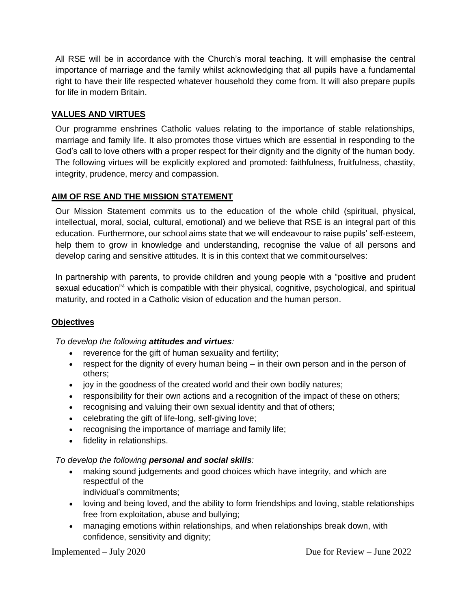All RSE will be in accordance with the Church's moral teaching. It will emphasise the central importance of marriage and the family whilst acknowledging that all pupils have a fundamental right to have their life respected whatever household they come from. It will also prepare pupils for life in modern Britain.

# **VALUES AND VIRTUES**

Our programme enshrines Catholic values relating to the importance of stable relationships, marriage and family life. It also promotes those virtues which are essential in responding to the God's call to love others with a proper respect for their dignity and the dignity of the human body. The following virtues will be explicitly explored and promoted: faithfulness, fruitfulness, chastity, integrity, prudence, mercy and compassion.

# **AIM OF RSE AND THE MISSION STATEMENT**

Our Mission Statement commits us to the education of the whole child (spiritual, physical, intellectual, moral, social, cultural, emotional) and we believe that RSE is an integral part of this education. Furthermore, our school aims state that we will endeavour to raise pupils' self-esteem, help them to grow in knowledge and understanding, recognise the value of all persons and develop caring and sensitive attitudes. It is in this context that we commit ourselves:

In partnership with parents, to provide children and young people with a "positive and prudent sexual education<sup>"4</sup> which is compatible with their physical, cognitive, psychological, and spiritual maturity, and rooted in a Catholic vision of education and the human person.

# **Objectives**

# *To develop the following attitudes and virtues:*

- reverence for the gift of human sexuality and fertility;
- respect for the dignity of every human being in their own person and in the person of others;
- joy in the goodness of the created world and their own bodily natures;
- responsibility for their own actions and a recognition of the impact of these on others;
- recognising and valuing their own sexual identity and that of others;
- celebrating the gift of life-long, self-giving love;
- recognising the importance of marriage and family life;
- fidelity in relationships.

# *To develop the following personal and social skills:*

• making sound judgements and good choices which have integrity, and which are respectful of the

individual's commitments;

- loving and being loved, and the ability to form friendships and loving, stable relationships free from exploitation, abuse and bullying;
- managing emotions within relationships, and when relationships break down, with confidence, sensitivity and dignity;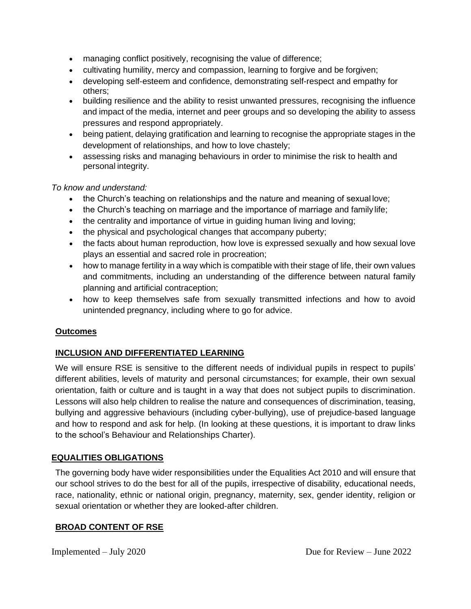- managing conflict positively, recognising the value of difference;
- cultivating humility, mercy and compassion, learning to forgive and be forgiven;
- developing self-esteem and confidence, demonstrating self-respect and empathy for others;
- building resilience and the ability to resist unwanted pressures, recognising the influence and impact of the media, internet and peer groups and so developing the ability to assess pressures and respond appropriately.
- being patient, delaying gratification and learning to recognise the appropriate stages in the development of relationships, and how to love chastely;
- assessing risks and managing behaviours in order to minimise the risk to health and personal integrity.

#### *To know and understand:*

- the Church's teaching on relationships and the nature and meaning of sexual love;
- the Church's teaching on marriage and the importance of marriage and family life;
- the centrality and importance of virtue in guiding human living and loving;
- the physical and psychological changes that accompany puberty;
- the facts about human reproduction, how love is expressed sexually and how sexual love plays an essential and sacred role in procreation;
- how to manage fertility in a way which is compatible with their stage of life, their own values and commitments, including an understanding of the difference between natural family planning and artificial contraception;
- how to keep themselves safe from sexually transmitted infections and how to avoid unintended pregnancy, including where to go for advice.

# **Outcomes**

# **INCLUSION AND DIFFERENTIATED LEARNING**

We will ensure RSE is sensitive to the different needs of individual pupils in respect to pupils' different abilities, levels of maturity and personal circumstances; for example, their own sexual orientation, faith or culture and is taught in a way that does not subject pupils to discrimination. Lessons will also help children to realise the nature and consequences of discrimination, teasing, bullying and aggressive behaviours (including cyber-bullying), use of prejudice-based language and how to respond and ask for help. (In looking at these questions, it is important to draw links to the school's Behaviour and Relationships Charter).

# **EQUALITIES OBLIGATIONS**

The governing body have wider responsibilities under the Equalities Act 2010 and will ensure that our school strives to do the best for all of the pupils, irrespective of disability, educational needs, race, nationality, ethnic or national origin, pregnancy, maternity, sex, gender identity, religion or sexual orientation or whether they are looked-after children.

# **BROAD CONTENT OF RSE**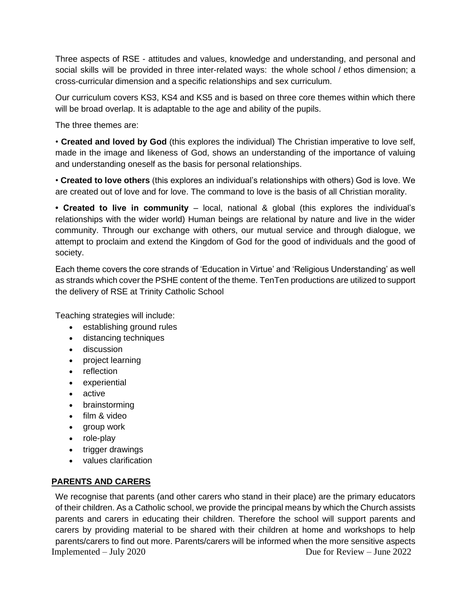Three aspects of RSE - attitudes and values, knowledge and understanding, and personal and social skills will be provided in three inter-related ways: the whole school / ethos dimension; a cross-curricular dimension and a specific relationships and sex curriculum.

Our curriculum covers KS3, KS4 and KS5 and is based on three core themes within which there will be broad overlap. It is adaptable to the age and ability of the pupils.

The three themes are:

• **Created and loved by God** (this explores the individual) The Christian imperative to love self, made in the image and likeness of God, shows an understanding of the importance of valuing and understanding oneself as the basis for personal relationships.

• **Created to love others** (this explores an individual's relationships with others) God is love. We are created out of love and for love. The command to love is the basis of all Christian morality.

**• Created to live in community** – local, national & global (this explores the individual's relationships with the wider world) Human beings are relational by nature and live in the wider community. Through our exchange with others, our mutual service and through dialogue, we attempt to proclaim and extend the Kingdom of God for the good of individuals and the good of society.

Each theme covers the core strands of 'Education in Virtue' and 'Religious Understanding' as well as strands which cover the PSHE content of the theme. TenTen productions are utilized to support the delivery of RSE at Trinity Catholic School

Teaching strategies will include:

- establishing ground rules
- distancing techniques
- discussion
- project learning
- reflection
- experiential
- active
- brainstorming
- film & video
- group work
- role-play
- trigger drawings
- values clarification

# **PARENTS AND CARERS**

Implemented – July 2020 Due for Review – June 2022 We recognise that parents (and other carers who stand in their place) are the primary educators of their children. As a Catholic school, we provide the principal means by which the Church assists parents and carers in educating their children. Therefore the school will support parents and carers by providing material to be shared with their children at home and workshops to help parents/carers to find out more. Parents/carers will be informed when the more sensitive aspects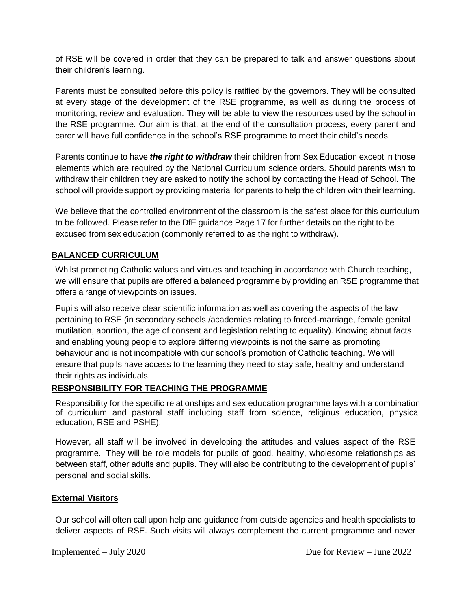of RSE will be covered in order that they can be prepared to talk and answer questions about their children's learning.

Parents must be consulted before this policy is ratified by the governors. They will be consulted at every stage of the development of the RSE programme, as well as during the process of monitoring, review and evaluation. They will be able to view the resources used by the school in the RSE programme. Our aim is that, at the end of the consultation process, every parent and carer will have full confidence in the school's RSE programme to meet their child's needs.

Parents continue to have *the right to withdraw* their children from Sex Education except in those elements which are required by the National Curriculum science orders. Should parents wish to withdraw their children they are asked to notify the school by contacting the Head of School. The school will provide support by providing material for parents to help the children with their learning.

We believe that the controlled environment of the classroom is the safest place for this curriculum to be followed. Please refer to the DfE guidance Page 17 for further details on the right to be excused from sex education (commonly referred to as the right to withdraw).

#### **BALANCED CURRICULUM**

Whilst promoting Catholic values and virtues and teaching in accordance with Church teaching, we will ensure that pupils are offered a balanced programme by providing an RSE programme that offers a range of viewpoints on issues.

Pupils will also receive clear scientific information as well as covering the aspects of the law pertaining to RSE (in secondary schools./academies relating to forced-marriage, female genital mutilation, abortion, the age of consent and legislation relating to equality). Knowing about facts and enabling young people to explore differing viewpoints is not the same as promoting behaviour and is not incompatible with our school's promotion of Catholic teaching. We will ensure that pupils have access to the learning they need to stay safe, healthy and understand their rights as individuals.

#### **RESPONSIBILITY FOR TEACHING THE PROGRAMME**

Responsibility for the specific relationships and sex education programme lays with a combination of curriculum and pastoral staff including staff from science, religious education, physical education, RSE and PSHE).

However, all staff will be involved in developing the attitudes and values aspect of the RSE programme. They will be role models for pupils of good, healthy, wholesome relationships as between staff, other adults and pupils. They will also be contributing to the development of pupils' personal and social skills.

#### **External Visitors**

Our school will often call upon help and guidance from outside agencies and health specialists to deliver aspects of RSE. Such visits will always complement the current programme and never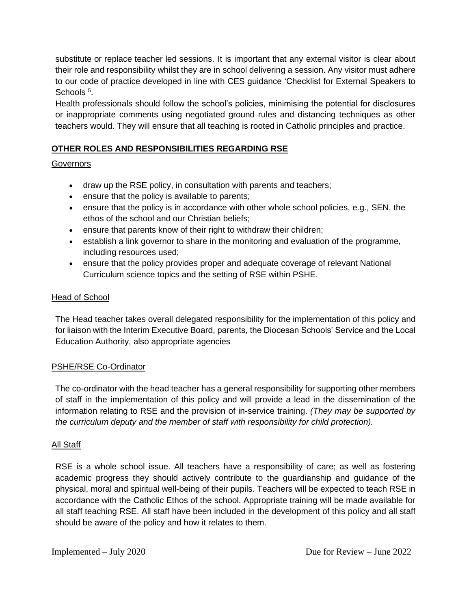substitute or replace teacher led sessions. It is important that any external visitor is clear about their role and responsibility whilst they are in school delivering a session. Any visitor must adhere to our code of practice developed in line with CES guidance 'Checklist for External Speakers to Schools<sup>5</sup>.

Health professionals should follow the school's policies, minimising the potential for disclosures or inappropriate comments using negotiated ground rules and distancing techniques as other teachers would. They will ensure that all teaching is rooted in Catholic principles and practice.

# **OTHER ROLES AND RESPONSIBILITIES REGARDING RSE**

#### **Governors**

- draw up the RSE policy, in consultation with parents and teachers;
- ensure that the policy is available to parents;
- ensure that the policy is in accordance with other whole school policies, e.g., SEN, the ethos of the school and our Christian beliefs;
- ensure that parents know of their right to withdraw their children;
- establish a link governor to share in the monitoring and evaluation of the programme, including resources used;
- ensure that the policy provides proper and adequate coverage of relevant National Curriculum science topics and the setting of RSE within PSHE.

#### Head of School

The Head teacher takes overall delegated responsibility for the implementation of this policy and for liaison with the Interim Executive Board, parents, the Diocesan Schools' Service and the Local Education Authority, also appropriate agencies

# PSHE/RSE Co-Ordinator

The co-ordinator with the head teacher has a general responsibility for supporting other members of staff in the implementation of this policy and will provide a lead in the dissemination of the information relating to RSE and the provision of in-service training. *(They may be supported by the curriculum deputy and the member of staff with responsibility for child protection).*

# All Staff

RSE is a whole school issue. All teachers have a responsibility of care; as well as fostering academic progress they should actively contribute to the guardianship and guidance of the physical, moral and spiritual well-being of their pupils. Teachers will be expected to teach RSE in accordance with the Catholic Ethos of the school. Appropriate training will be made available for all staff teaching RSE. All staff have been included in the development of this policy and all staff should be aware of the policy and how it relates to them.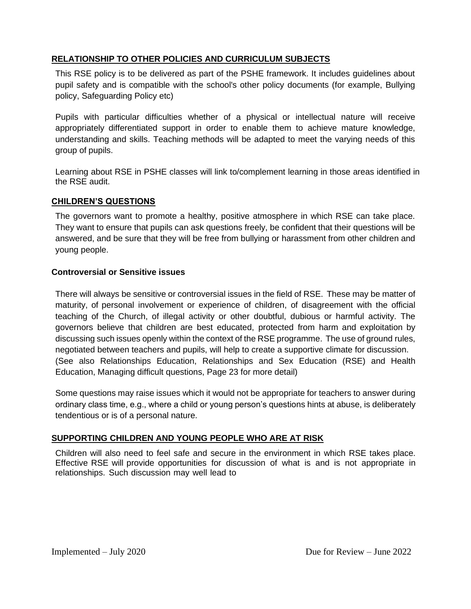# **RELATIONSHIP TO OTHER POLICIES AND CURRICULUM SUBJECTS**

This RSE policy is to be delivered as part of the PSHE framework. It includes guidelines about pupil safety and is compatible with the school's other policy documents (for example, Bullying policy, Safeguarding Policy etc)

Pupils with particular difficulties whether of a physical or intellectual nature will receive appropriately differentiated support in order to enable them to achieve mature knowledge, understanding and skills. Teaching methods will be adapted to meet the varying needs of this group of pupils.

Learning about RSE in PSHE classes will link to/complement learning in those areas identified in the RSE audit.

#### **CHILDREN'S QUESTIONS**

The governors want to promote a healthy, positive atmosphere in which RSE can take place. They want to ensure that pupils can ask questions freely, be confident that their questions will be answered, and be sure that they will be free from bullying or harassment from other children and young people.

#### **Controversial or Sensitive issues**

There will always be sensitive or controversial issues in the field of RSE. These may be matter of maturity, of personal involvement or experience of children, of disagreement with the official teaching of the Church, of illegal activity or other doubtful, dubious or harmful activity. The governors believe that children are best educated, protected from harm and exploitation by discussing such issues openly within the context of the RSE programme. The use of ground rules, negotiated between teachers and pupils, will help to create a supportive climate for discussion. (See also Relationships Education, Relationships and Sex Education (RSE) and Health Education, Managing difficult questions, Page 23 for more detail)

Some questions may raise issues which it would not be appropriate for teachers to answer during ordinary class time, e.g., where a child or young person's questions hints at abuse, is deliberately tendentious or is of a personal nature.

#### **SUPPORTING CHILDREN AND YOUNG PEOPLE WHO ARE AT RISK**

Children will also need to feel safe and secure in the environment in which RSE takes place. Effective RSE will provide opportunities for discussion of what is and is not appropriate in relationships. Such discussion may well lead to